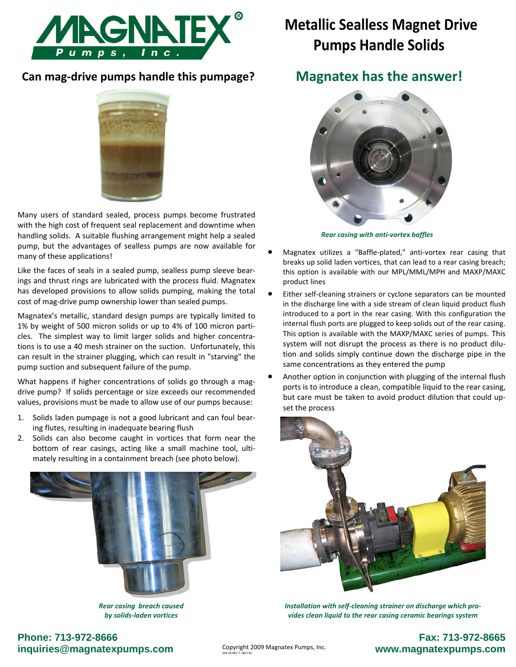

## **Can mag‐drive pumps handle this pumpage?**

Many users of standard sealed, process pumps become frustrated with the high cost of frequent seal replacement and downtime when handling solids. A suitable flushing arrangement might help a sealed pump, but the advantages of sealless pumps are now available for many of these applications!

Like the faces of seals in a sealed pump, sealless pump sleeve bear‐ ings and thrust rings are lubricated with the process fluid. Magnatex has developed provisions to allow solids pumping, making the total cost of mag‐drive pump ownership lower than sealed pumps.

Magnatex's metallic, standard design pumps are typically limited to 1% by weight of 500 micron solids or up to 4% of 100 micron parti‐ cles. The simplest way to limit larger solids and higher concentrations is to use a 40 mesh strainer on the suction. Unfortunately, this can result in the strainer plugging, which can result in "starving" the pump suction and subsequent failure of the pump.

What happens if higher concentrations of solids go through a magdrive pump? If solids percentage or size exceeds our recommended values, provisions must be made to allow use of our pumps because:

- 1. Solids laden pumpage is not a good lubricant and can foul bear‐ ing flutes, resulting in inadequate bearing flush
- 2. Solids can also become caught in vortices that form near the bottom of rear casings, acting like a small machine tool, ultimately resulting in a containment breach (see photo below).



*Rear casing breach caused by solids‐laden vortices*

# **Metallic Sealless Magnet Drive Pumps Handle Solids**

## **Magnatex has the answer!**



*Rear casing with anti‐vortex baffles*

- Magnatex utilizes a "Baffle‐plated," anti‐vortex rear casing that breaks up solid laden vortices, that can lead to a rear casing breach; this option is available with our MPL/MML/MPH and MAXP/MAXC product lines
- Either self-cleaning strainers or cyclone separators can be mounted in the discharge line with a side stream of clean liquid product flush introduced to a port in the rear casing. With this configuration the internal flush ports are plugged to keep solids out of the rear casing. This option is available with the MAXP/MAXC series of pumps. This system will not disrupt the process as there is no product dilution and solids simply continue down the discharge pipe in the same concentrations as they entered the pump
- Another option in conjunction with plugging of the internal flush ports is to introduce a clean, compatible liquid to the rear casing, but care must be taken to avoid product dilution that could up‐ set the process



*Installation with self‐cleaning strainer on discharge which pro‐ vides clean liquid to the rear casing ceramic bearings system*

## **Phone: 713-972-8666 inquiries@magnatexpumps.com**

## **Fax: 713-972-8665 www.magnatexpumps.com**